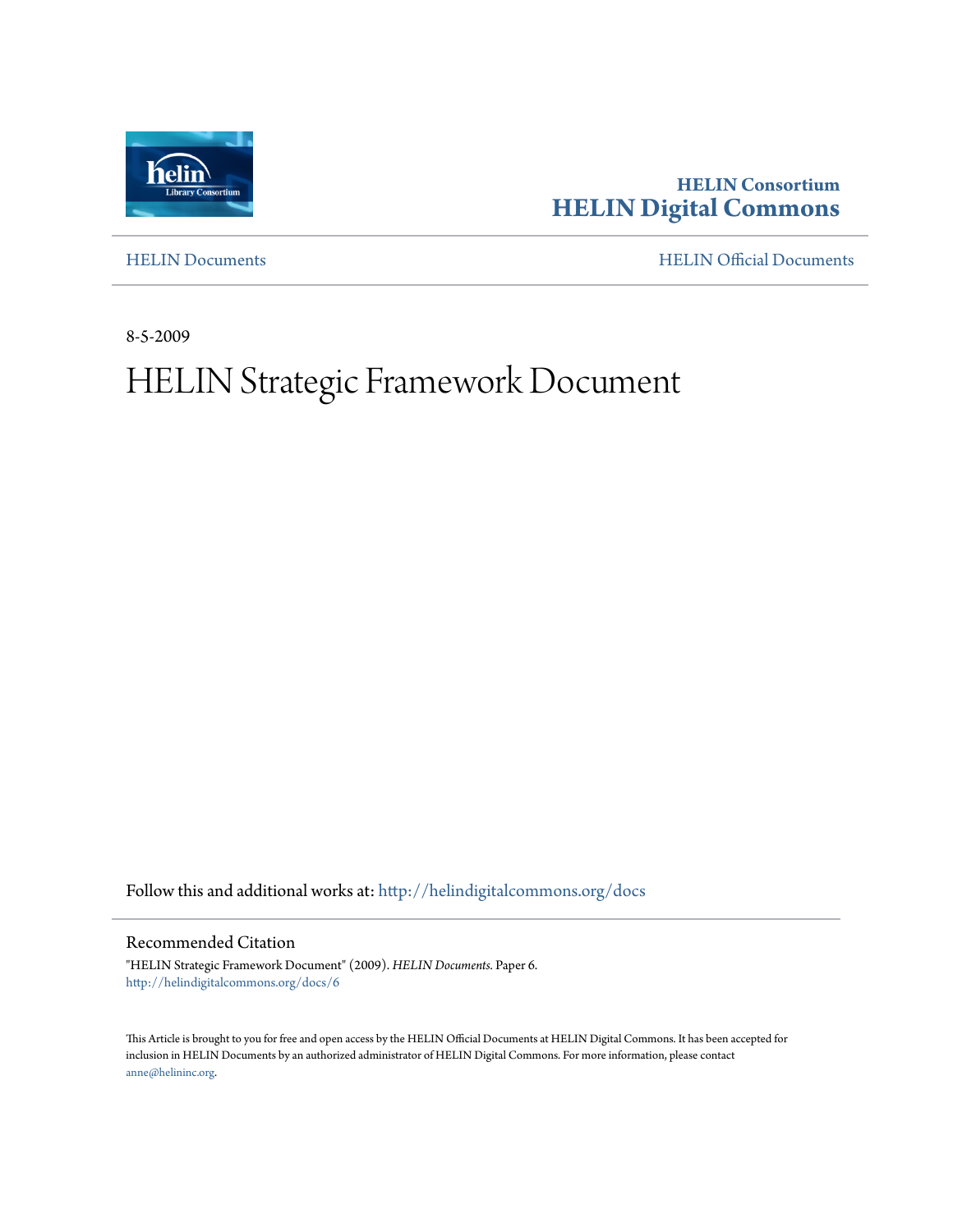

**HELIN Consortium [HELIN Digital Commons](http://helindigitalcommons.org?utm_source=helindigitalcommons.org%2Fdocs%2F6&utm_medium=PDF&utm_campaign=PDFCoverPages)**

[HELIN Documents](http://helindigitalcommons.org/docs?utm_source=helindigitalcommons.org%2Fdocs%2F6&utm_medium=PDF&utm_campaign=PDFCoverPages) [HELIN Official Documents](http://helindigitalcommons.org/documents?utm_source=helindigitalcommons.org%2Fdocs%2F6&utm_medium=PDF&utm_campaign=PDFCoverPages)

8-5-2009

# HELIN Strategic Framework Document

Follow this and additional works at: [http://helindigitalcommons.org/docs](http://helindigitalcommons.org/docs?utm_source=helindigitalcommons.org%2Fdocs%2F6&utm_medium=PDF&utm_campaign=PDFCoverPages)

Recommended Citation

"HELIN Strategic Framework Document" (2009). *HELIN Documents.* Paper 6. [http://helindigitalcommons.org/docs/6](http://helindigitalcommons.org/docs/6?utm_source=helindigitalcommons.org%2Fdocs%2F6&utm_medium=PDF&utm_campaign=PDFCoverPages)

This Article is brought to you for free and open access by the HELIN Official Documents at HELIN Digital Commons. It has been accepted for inclusion in HELIN Documents by an authorized administrator of HELIN Digital Commons. For more information, please contact [anne@helininc.org.](mailto:anne@helininc.org)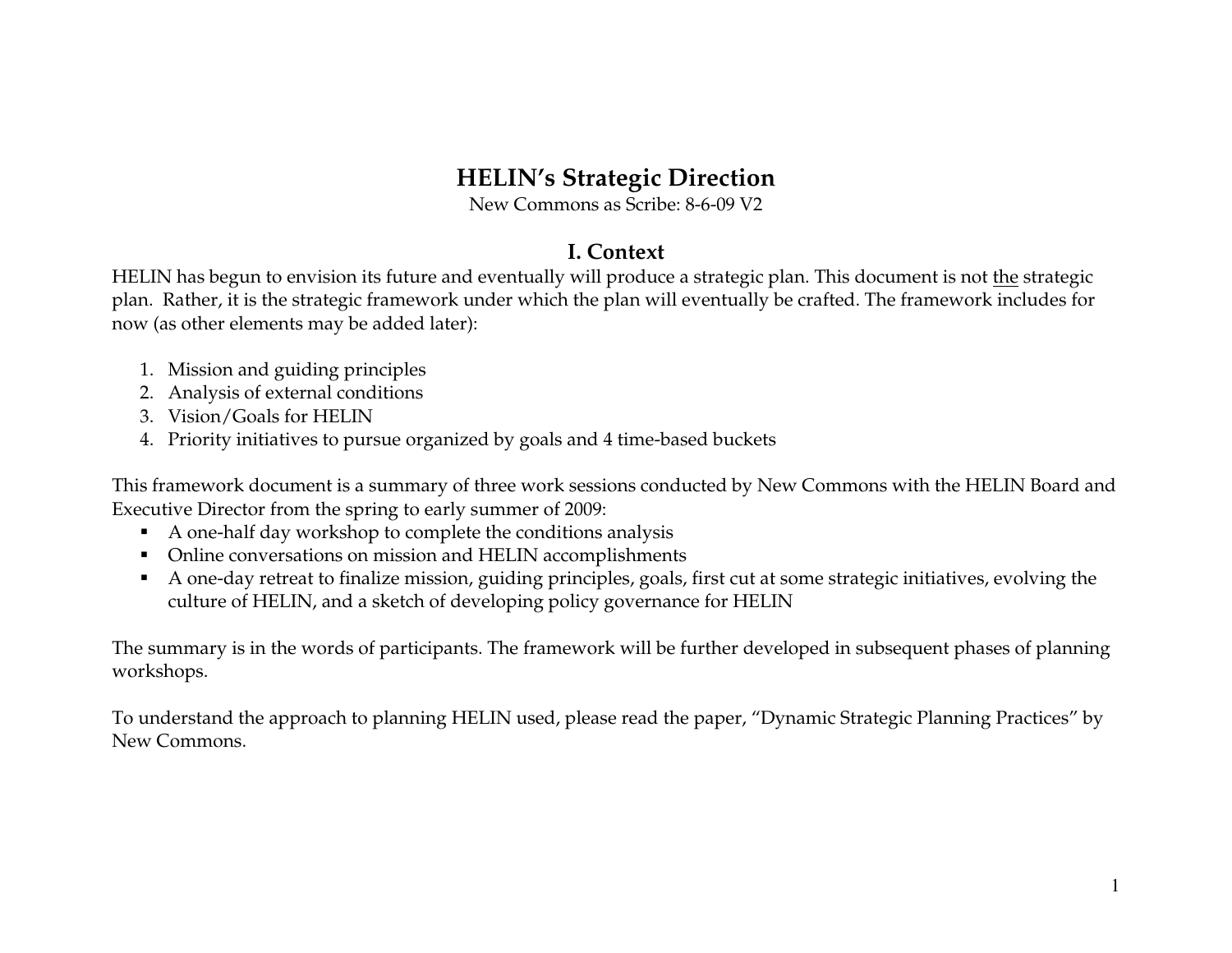# **HELIN's Strategic Direction**

New Commons as Scribe: 8-6-09 V2

# **I. Context**

HELIN has begun to envision its future and eventually will produce a strategic plan. This document is not the strategic plan. Rather, it is the strategic framework under which the plan will eventually be crafted. The framework includes for now (as other elements may be added later):

- 1. Mission and guiding principles
- 2. Analysis of external conditions
- 3. Vision/Goals for HELIN
- 4. Priority initiatives to pursue organized by goals and 4 time-based buckets

This framework document is a summary of three work sessions conducted by New Commons with the HELIN Board and Executive Director from the spring to early summer of 2009:

- A one-half day workshop to complete the conditions analysis
- $\blacksquare$ Online conversations on mission and HELIN accomplishments
- A one-day retreat to finalize mission, guiding principles, goals, first cut at some strategic initiatives, evolving the culture of HELIN, and a sketch of developing policy governance for HELIN

The summary is in the words of participants. The framework will be further developed in subsequent phases of planning workshops.

To understand the approach to planning HELIN used, please read the paper, "Dynamic Strategic Planning Practices" by New Commons.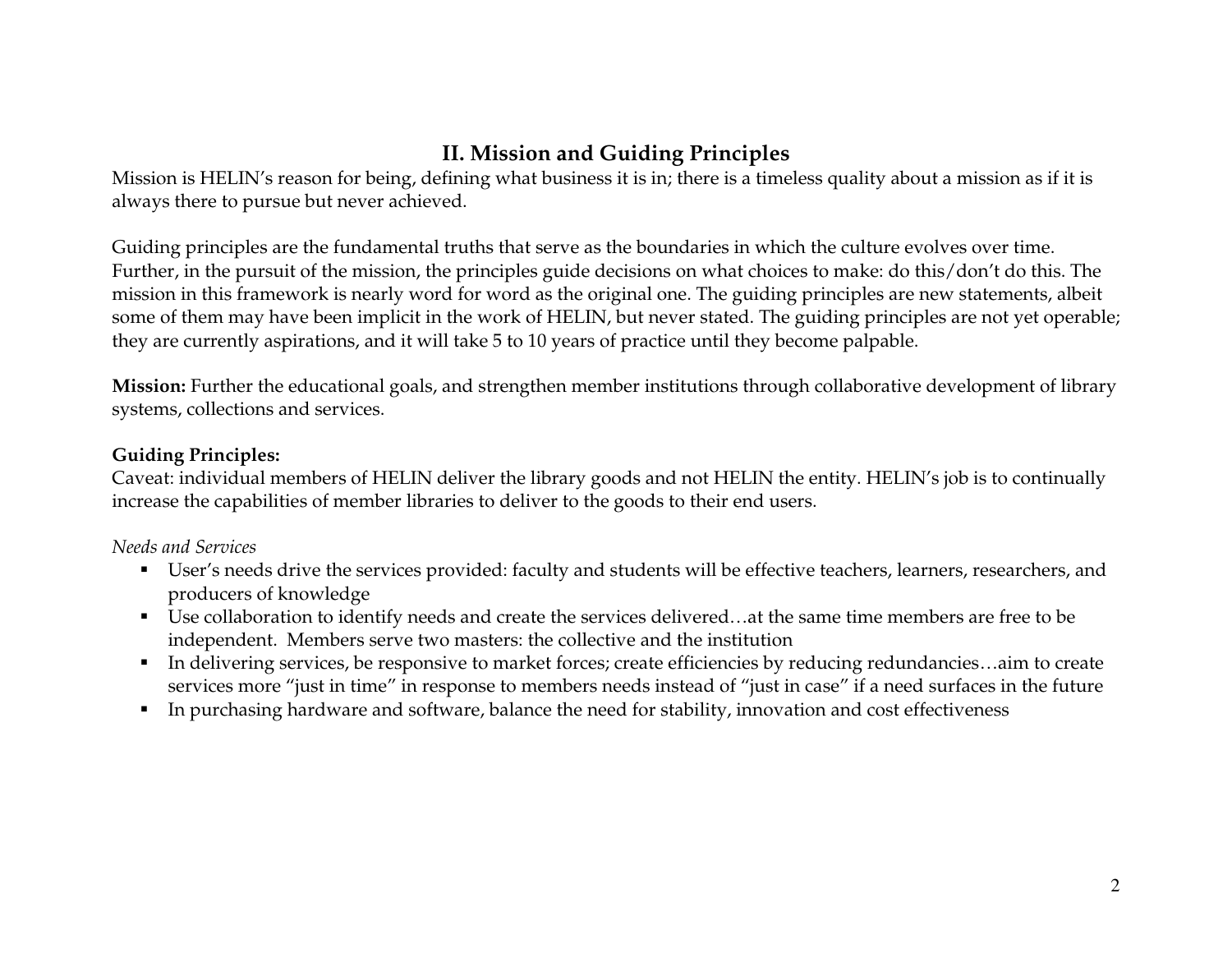# **II. Mission and Guiding Principles**

Mission is HELIN's reason for being, defining what business it is in; there is a timeless quality about a mission as if it is always there to pursue but never achieved.

Guiding principles are the fundamental truths that serve as the boundaries in which the culture evolves over time. Further, in the pursuit of the mission, the principles guide decisions on what choices to make: do this/don't do this. The mission in this framework is nearly word for word as the original one. The guiding principles are new statements, albeit some of them may have been implicit in the work of HELIN, but never stated. The guiding principles are not yet operable; they are currently aspirations, and it will take 5 to 10 years of practice until they become palpable.

**Mission:** Further the educational goals, and strengthen member institutions through collaborative development of library systems, collections and services.

### **Guiding Principles:**

Caveat: individual members of HELIN deliver the library goods and not HELIN the entity. HELIN's job is to continually increase the capabilities of member libraries to deliver to the goods to their end users.

### *Needs and Services*

- User's needs drive the services provided: faculty and students will be effective teachers, learners, researchers, and producers of knowledge
- Use collaboration to identify needs and create the services delivered…at the same time members are free to be independent. Members serve two masters: the collective and the institution
- In delivering services, be responsive to market forces; create efficiencies by reducing redundancies…aim to create services more "just in time" in response to members needs instead of "just in case" if a need surfaces in the future
- $\blacksquare$ In purchasing hardware and software, balance the need for stability, innovation and cost effectiveness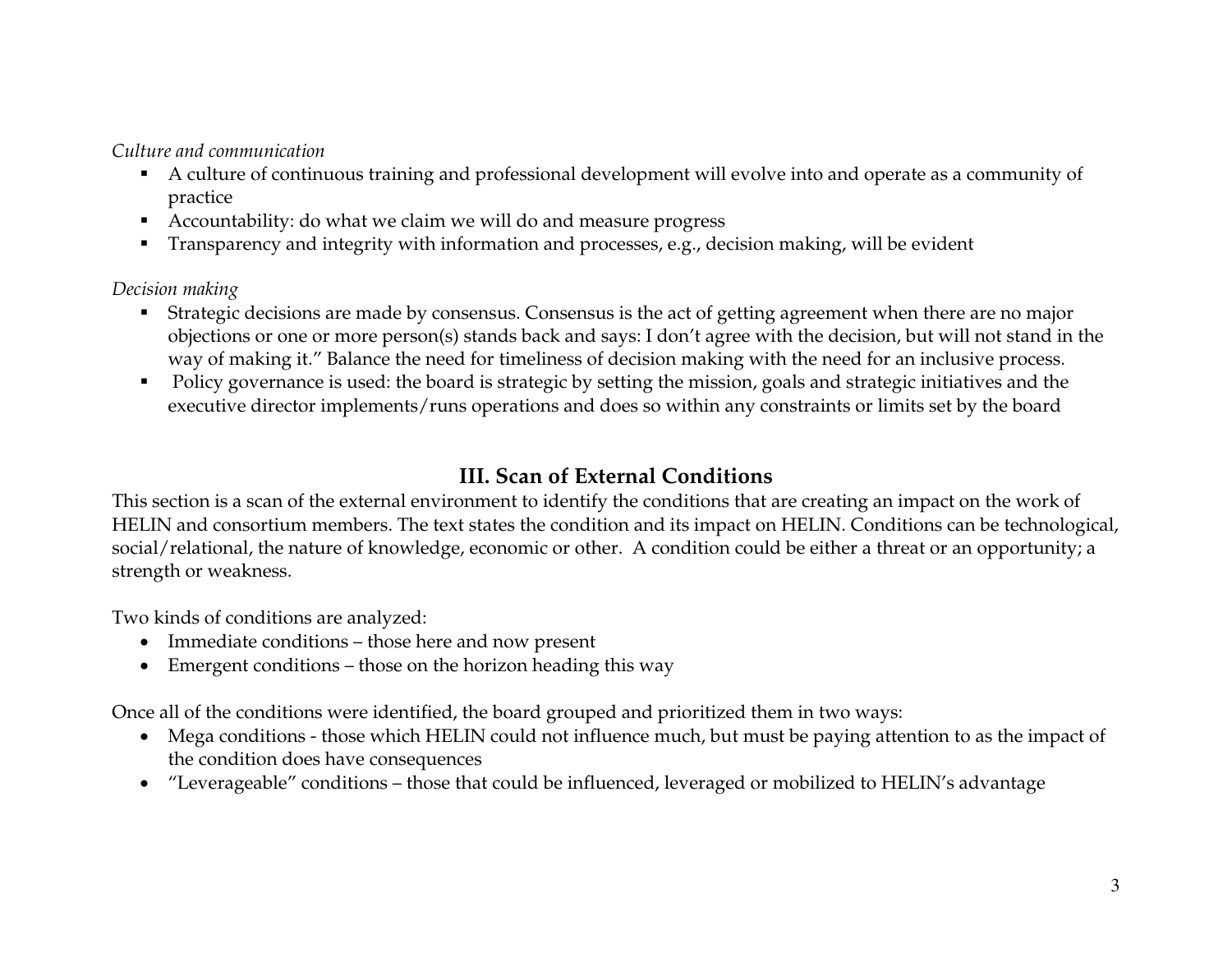*Culture and communication* 

- A culture of continuous training and professional development will evolve into and operate as a community of practice
- Accountability: do what we claim we will do and measure progress
- Transparency and integrity with information and processes, e.g., decision making, will be evident

*Decision making* 

- Strategic decisions are made by consensus. Consensus is the act of getting agreement when there are no major objections or one or more person(s) stands back and says: I don't agree with the decision, but will not stand in the way of making it." Balance the need for timeliness of decision making with the need for an inclusive process.
- Policy governance is used: the board is strategic by setting the mission, goals and strategic initiatives and the executive director implements/runs operations and does so within any constraints or limits set by the board

# **III. Scan of External Conditions**

This section is a scan of the external environment to identify the conditions that are creating an impact on the work of HELIN and consortium members. The text states the condition and its impact on HELIN. Conditions can be technological, social/relational, the nature of knowledge, economic or other. A condition could be either a threat or an opportunity; a strength or weakness.

Two kinds of conditions are analyzed:

- Immediate conditions those here and now present
- Emergent conditions those on the horizon heading this way

Once all of the conditions were identified, the board grouped and prioritized them in two ways:

- Mega conditions those which HELIN could not influence much, but must be paying attention to as the impact of the condition does have consequences
- "Leverageable" conditions those that could be influenced, leveraged or mobilized to HELIN's advantage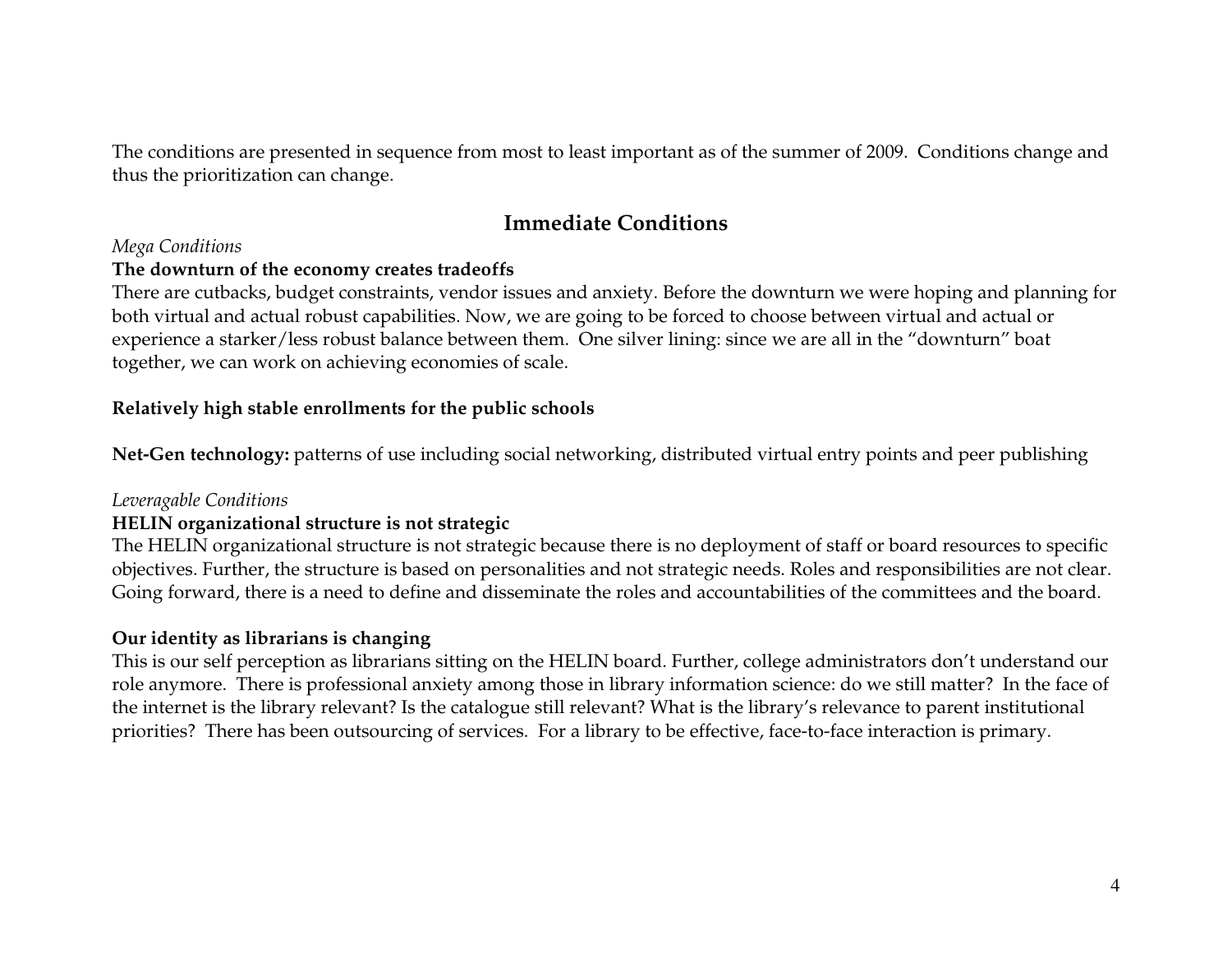The conditions are presented in sequence from most to least important as of the summer of 2009. Conditions change and thus the prioritization can change.

### **Immediate Conditions**

#### *Mega Conditions*

#### **The downturn of the economy creates tradeoffs**

There are cutbacks, budget constraints, vendor issues and anxiety. Before the downturn we were hoping and planning for both virtual and actual robust capabilities. Now, we are going to be forced to choose between virtual and actual or experience a starker/less robust balance between them. One silver lining: since we are all in the "downturn" boat together, we can work on achieving economies of scale.

#### **Relatively high stable enrollments for the public schools**

**Net-Gen technology:** patterns of use including social networking, distributed virtual entry points and peer publishing

#### *Leveragable Conditions*

#### **HELIN organizational structure is not strategic**

 The HELIN organizational structure is not strategic because there is no deployment of staff or board resources to specific objectives. Further, the structure is based on personalities and not strategic needs. Roles and responsibilities are not clear. Going forward, there is a need to define and disseminate the roles and accountabilities of the committees and the board.

#### **Our identity as librarians is changing**

This is our self perception as librarians sitting on the HELIN board. Further, college administrators don't understand our role anymore. There is professional anxiety among those in library information science: do we still matter? In the face of the internet is the library relevant? Is the catalogue still relevant? What is the library's relevance to parent institutional priorities? There has been outsourcing of services. For a library to be effective, face-to-face interaction is primary.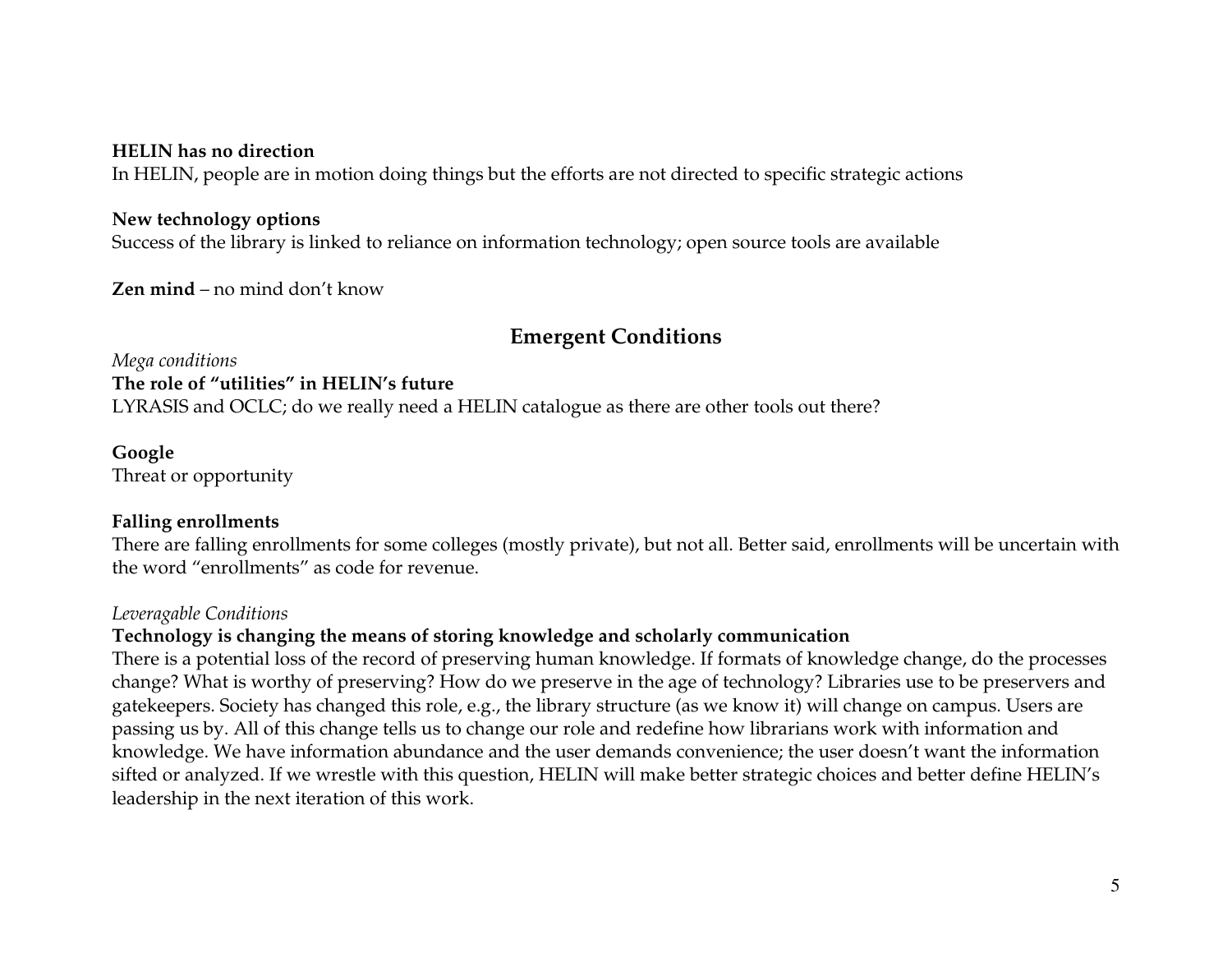#### **HELIN has no direction**

In HELIN, people are in motion doing things but the efforts are not directed to specific strategic actions

#### **New technology options**

Success of the library is linked to reliance on information technology; open source tools are available

**Zen mind** – no mind don't know

### **Emergent Conditions**

*Mega conditions*  **The role of "utilities" in HELIN's future** LYRASIS and OCLC; do we really need a HELIN catalogue as there are other tools out there?

#### **Google**

Threat or opportunity

#### **Falling enrollments**

 There are falling enrollments for some colleges (mostly private), but not all. Better said, enrollments will be uncertain with the word "enrollments" as code for revenue.

#### *Leveragable Conditions*

#### **Technology is changing the means of storing knowledge and scholarly communication**

There is a potential loss of the record of preserving human knowledge. If formats of knowledge change, do the processes change? What is worthy of preserving? How do we preserve in the age of technology? Libraries use to be preservers and gatekeepers. Society has changed this role, e.g., the library structure (as we know it) will change on campus. Users are passing us by. All of this change tells us to change our role and redefine how librarians work with information and knowledge. We have information abundance and the user demands convenience; the user doesn't want the information sifted or analyzed. If we wrestle with this question, HELIN will make better strategic choices and better define HELIN's leadership in the next iteration of this work.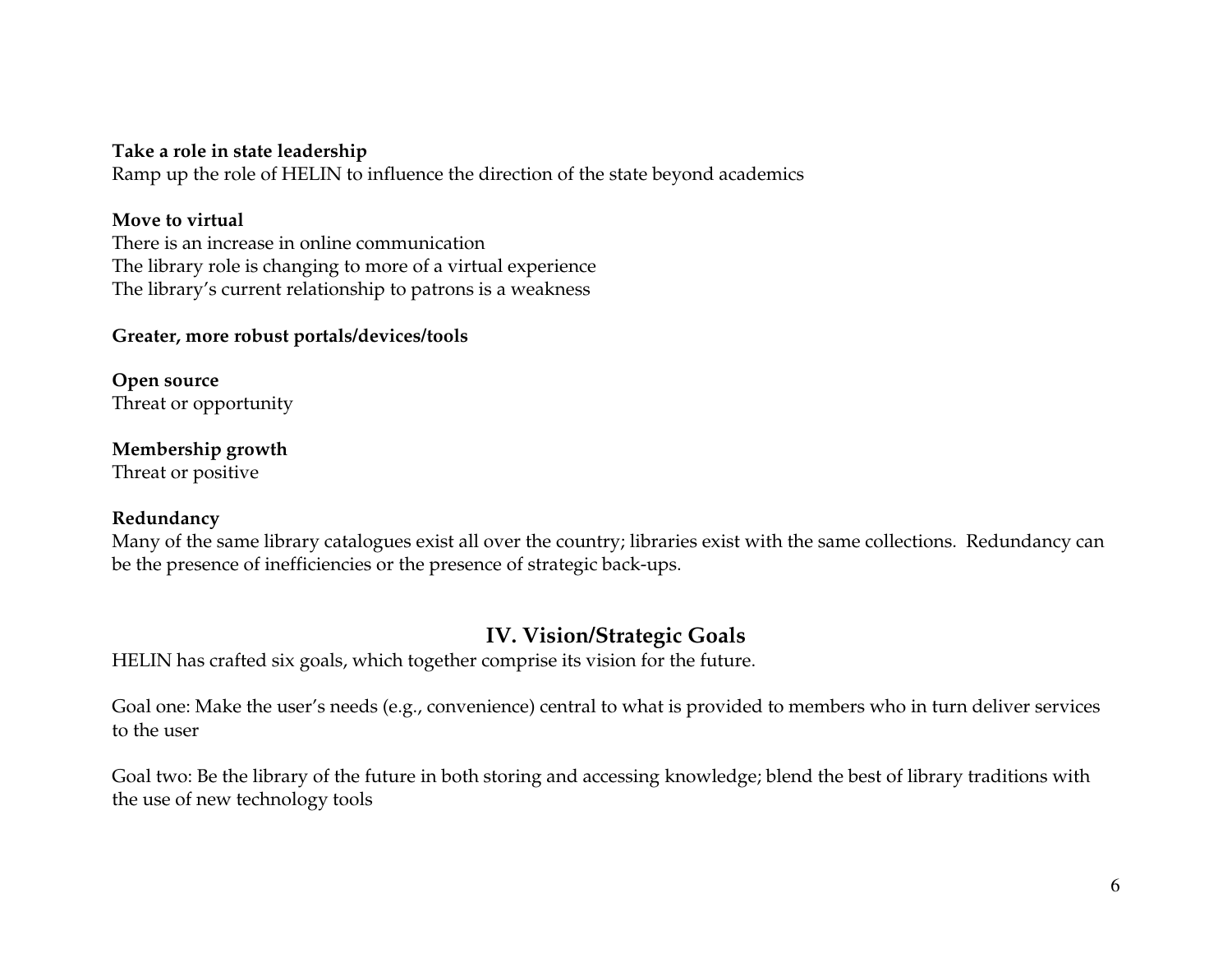#### **Take a role in state leadership**

Ramp up the role of HELIN to influence the direction of the state beyond academics

#### **Move to virtual**

 There is an increase in online communication The library role is changing to more of a virtual experience The library's current relationship to patrons is a weakness

#### **Greater, more robust portals/devices/tools**

**Open source**  Threat or opportunity

**Membership growth**  Threat or positive

#### **Redundancy**

Many of the same library catalogues exist all over the country; libraries exist with the same collections. Redundancy can be the presence of inefficiencies or the presence of strategic back-ups.

### **IV. Vision/Strategic Goals**

HELIN has crafted six goals, which together comprise its vision for the future.

Goal one: Make the user's needs (e.g., convenience) central to what is provided to members who in turn deliver services to the user

Goal two: Be the library of the future in both storing and accessing knowledge; blend the best of library traditions with the use of new technology tools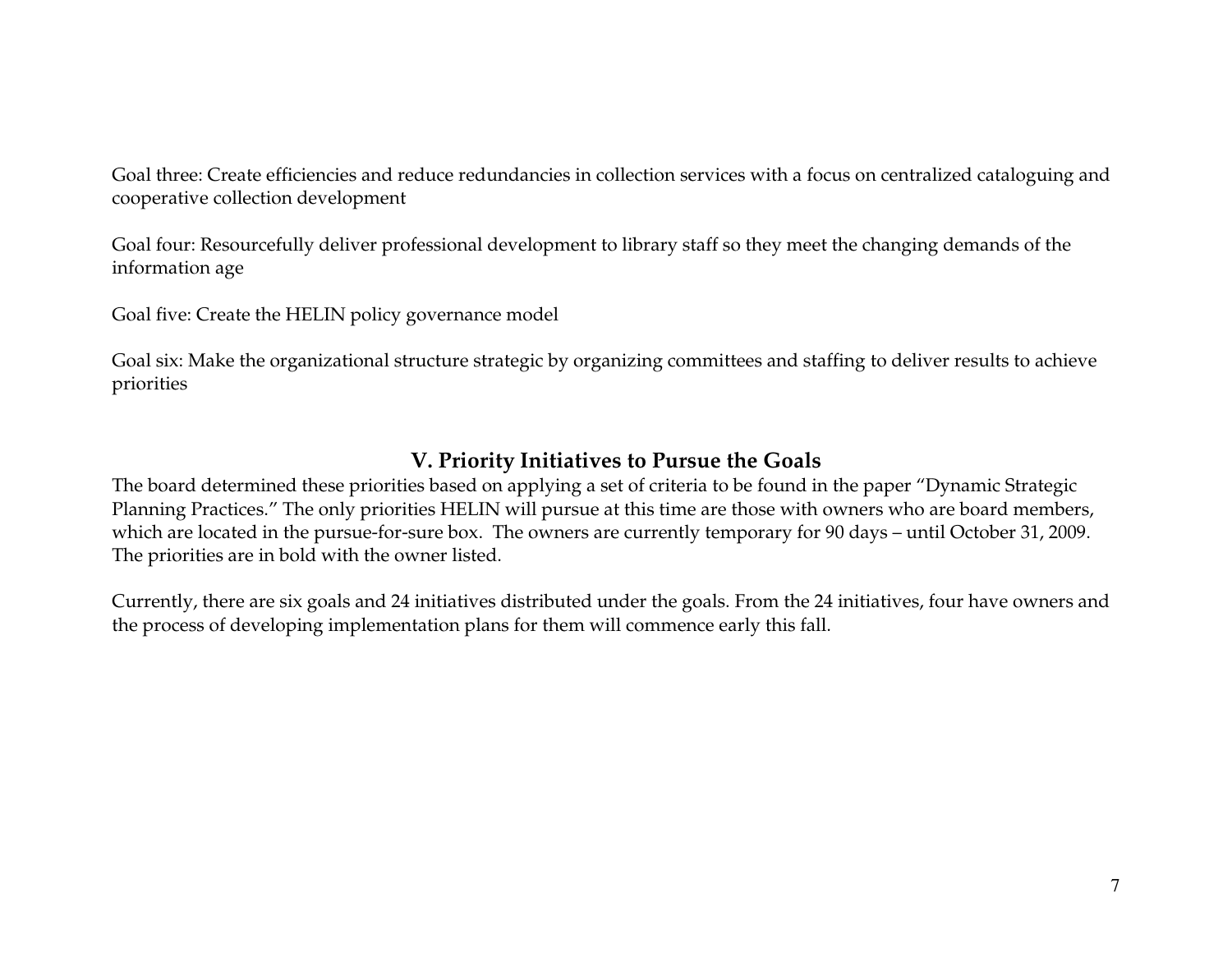Goal three: Create efficiencies and reduce redundancies in collection services with a focus on centralized cataloguing and cooperative collection development

Goal four: Resourcefully deliver professional development to library staff so they meet the changing demands of the information age

Goal five: Create the HELIN policy governance model

Goal six: Make the organizational structure strategic by organizing committees and staffing to deliver results to achieve priorities

# **V. Priority Initiatives to Pursue the Goals**

The board determined these priorities based on applying a set of criteria to be found in the paper "Dynamic Strategic Planning Practices." The only priorities HELIN will pursue at this time are those with owners who are board members, which are located in the pursue-for-sure box. The owners are currently temporary for 90 days – until October 31, 2009. The priorities are in bold with the owner listed.

Currently, there are six goals and 24 initiatives distributed under the goals. From the 24 initiatives, four have owners and the process of developing implementation plans for them will commence early this fall.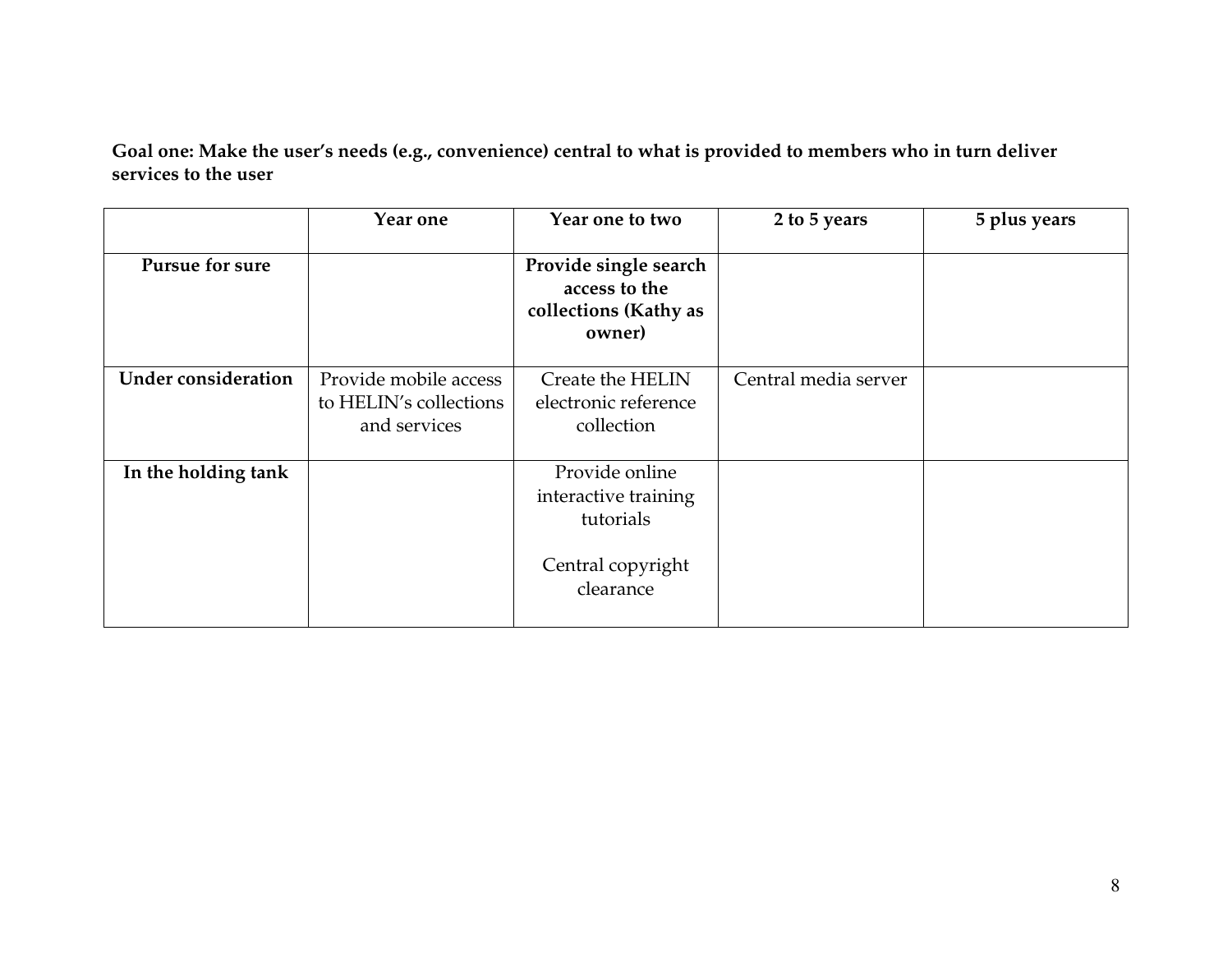**Goal one: Make the user's needs (e.g., convenience) central to what is provided to members who in turn deliver services to the user** 

|                            | Year one                                                        | Year one to two                                                                       | 2 to 5 years         | 5 plus years |
|----------------------------|-----------------------------------------------------------------|---------------------------------------------------------------------------------------|----------------------|--------------|
| <b>Pursue for sure</b>     |                                                                 | Provide single search<br>access to the<br>collections (Kathy as<br>owner)             |                      |              |
| <b>Under consideration</b> | Provide mobile access<br>to HELIN's collections<br>and services | Create the HELIN<br>electronic reference<br>collection                                | Central media server |              |
| In the holding tank        |                                                                 | Provide online<br>interactive training<br>tutorials<br>Central copyright<br>clearance |                      |              |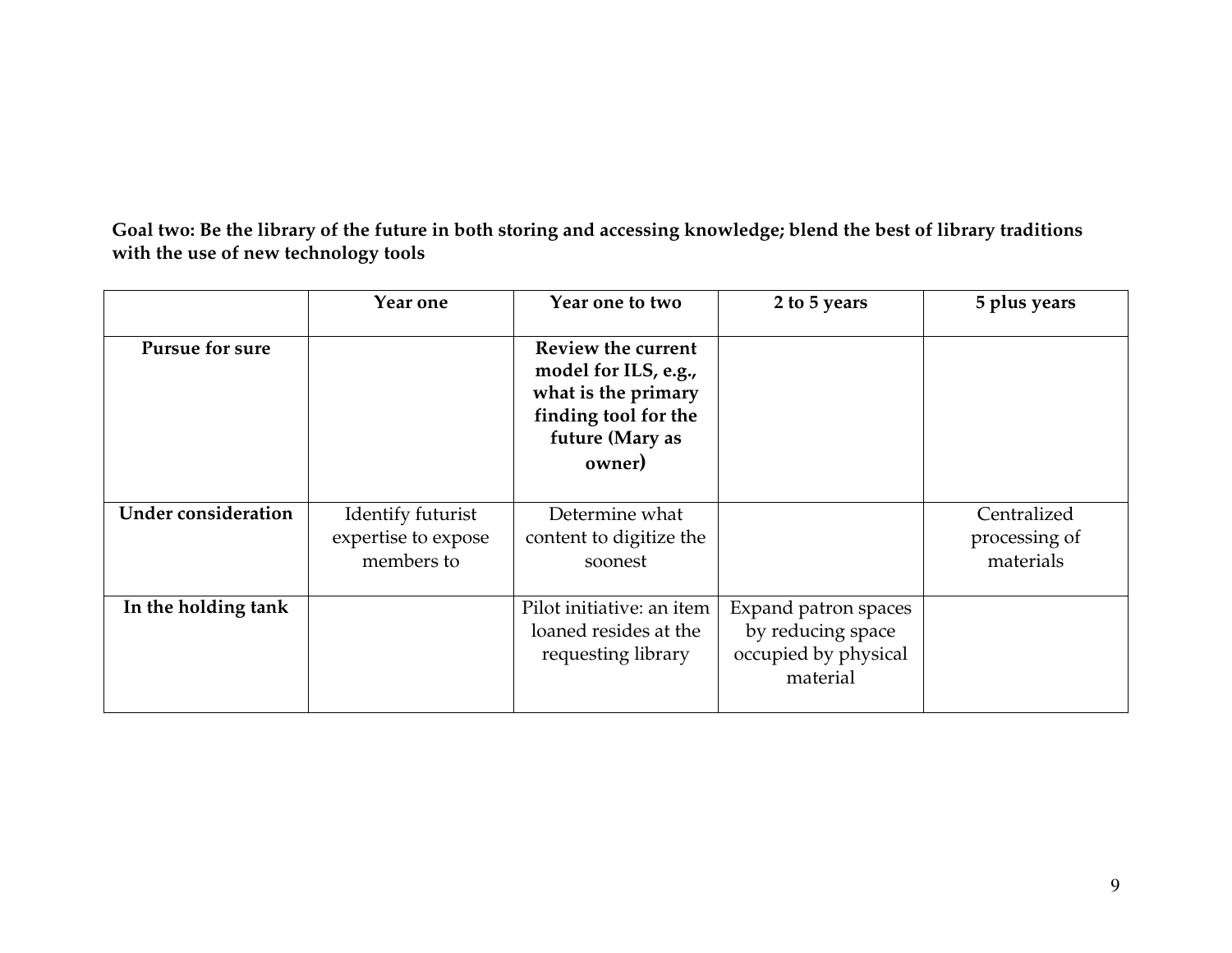**Goal two: Be the library of the future in both storing and accessing knowledge; blend the best of library traditions with the use of new technology tools** 

|                            | Year one                                               | Year one to two                                                                                                        | 2 to 5 years                                                                  | 5 plus years                              |
|----------------------------|--------------------------------------------------------|------------------------------------------------------------------------------------------------------------------------|-------------------------------------------------------------------------------|-------------------------------------------|
| <b>Pursue for sure</b>     |                                                        | Review the current<br>model for ILS, e.g.,<br>what is the primary<br>finding tool for the<br>future (Mary as<br>owner) |                                                                               |                                           |
| <b>Under consideration</b> | Identify futurist<br>expertise to expose<br>members to | Determine what<br>content to digitize the<br>soonest                                                                   |                                                                               | Centralized<br>processing of<br>materials |
| In the holding tank        |                                                        | Pilot initiative: an item<br>loaned resides at the<br>requesting library                                               | Expand patron spaces<br>by reducing space<br>occupied by physical<br>material |                                           |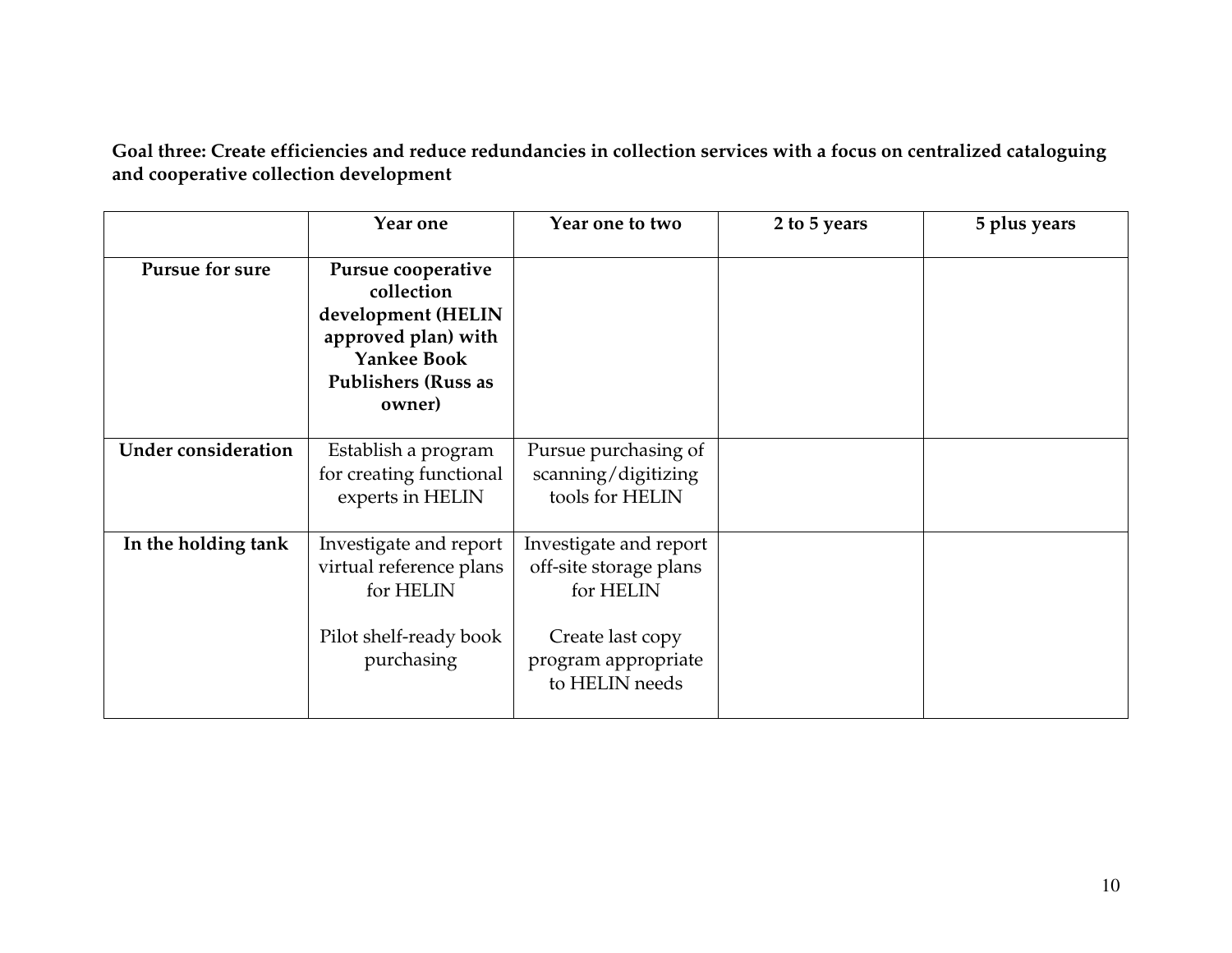**Goal three: Create efficiencies and reduce redundancies in collection services with a focus on centralized cataloguing and cooperative collection development** 

|                            | Year one                                                                                                                                    | Year one to two                                                                                                            | 2 to 5 years | 5 plus years |
|----------------------------|---------------------------------------------------------------------------------------------------------------------------------------------|----------------------------------------------------------------------------------------------------------------------------|--------------|--------------|
| <b>Pursue for sure</b>     | Pursue cooperative<br>collection<br>development (HELIN<br>approved plan) with<br><b>Yankee Book</b><br><b>Publishers (Russ as</b><br>owner) |                                                                                                                            |              |              |
| <b>Under consideration</b> | Establish a program<br>for creating functional<br>experts in HELIN                                                                          | Pursue purchasing of<br>scanning/digitizing<br>tools for HELIN                                                             |              |              |
| In the holding tank        | Investigate and report<br>virtual reference plans<br>for HELIN<br>Pilot shelf-ready book<br>purchasing                                      | Investigate and report<br>off-site storage plans<br>for HELIN<br>Create last copy<br>program appropriate<br>to HELIN needs |              |              |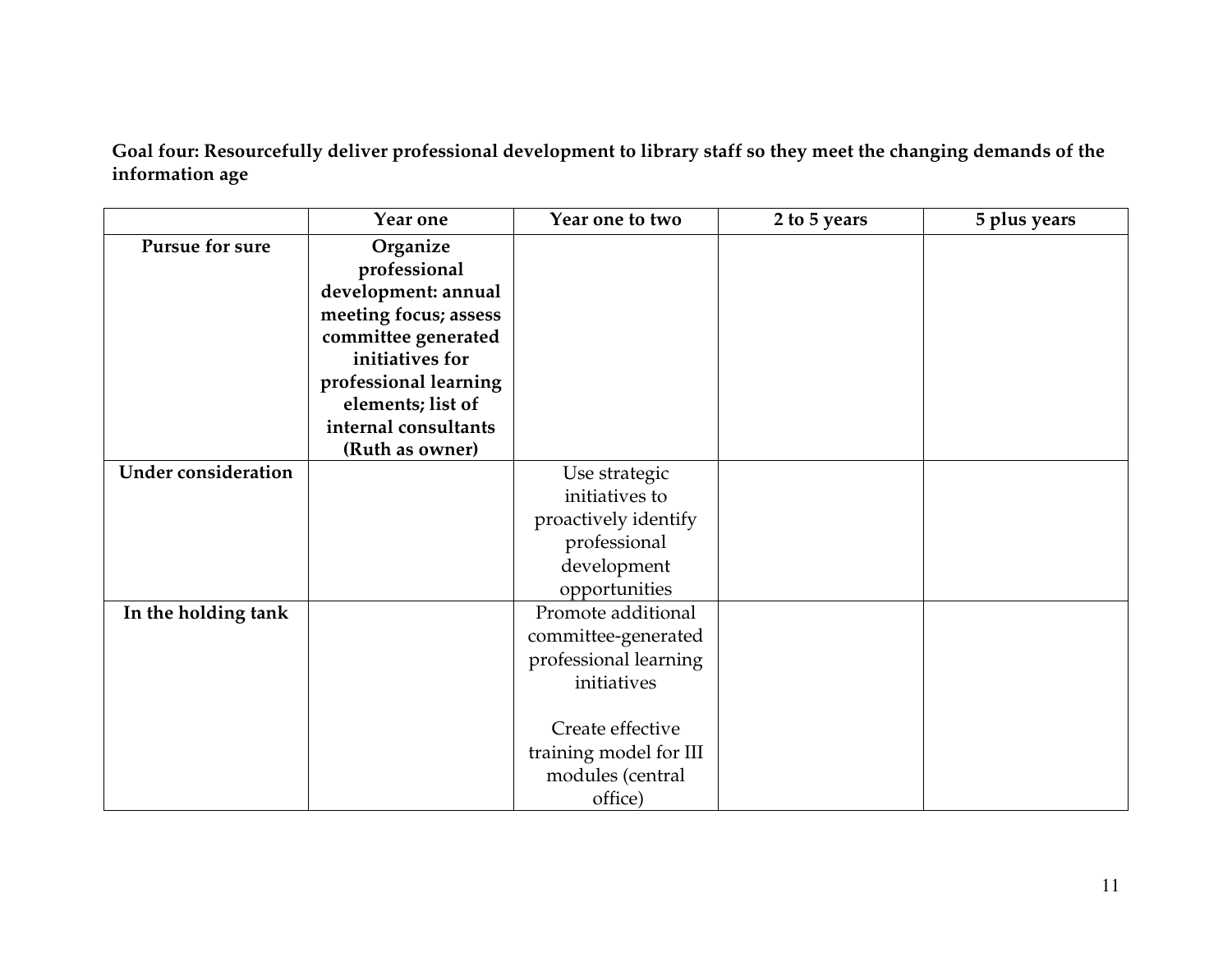**Goal four: Resourcefully deliver professional development to library staff so they meet the changing demands of the information age** 

|                            | Year one                 | Year one to two        | 2 to 5 years | 5 plus years |
|----------------------------|--------------------------|------------------------|--------------|--------------|
| Pursue for sure            | Organize<br>professional |                        |              |              |
|                            | development: annual      |                        |              |              |
|                            | meeting focus; assess    |                        |              |              |
|                            | committee generated      |                        |              |              |
|                            | initiatives for          |                        |              |              |
|                            | professional learning    |                        |              |              |
|                            | elements; list of        |                        |              |              |
|                            | internal consultants     |                        |              |              |
|                            | (Ruth as owner)          |                        |              |              |
| <b>Under consideration</b> |                          | Use strategic          |              |              |
|                            |                          | initiatives to         |              |              |
|                            |                          | proactively identify   |              |              |
|                            |                          | professional           |              |              |
|                            |                          | development            |              |              |
|                            |                          | opportunities          |              |              |
| In the holding tank        |                          | Promote additional     |              |              |
|                            |                          | committee-generated    |              |              |
|                            |                          | professional learning  |              |              |
|                            |                          | initiatives            |              |              |
|                            |                          |                        |              |              |
|                            |                          | Create effective       |              |              |
|                            |                          | training model for III |              |              |
|                            |                          | modules (central       |              |              |
|                            |                          | office)                |              |              |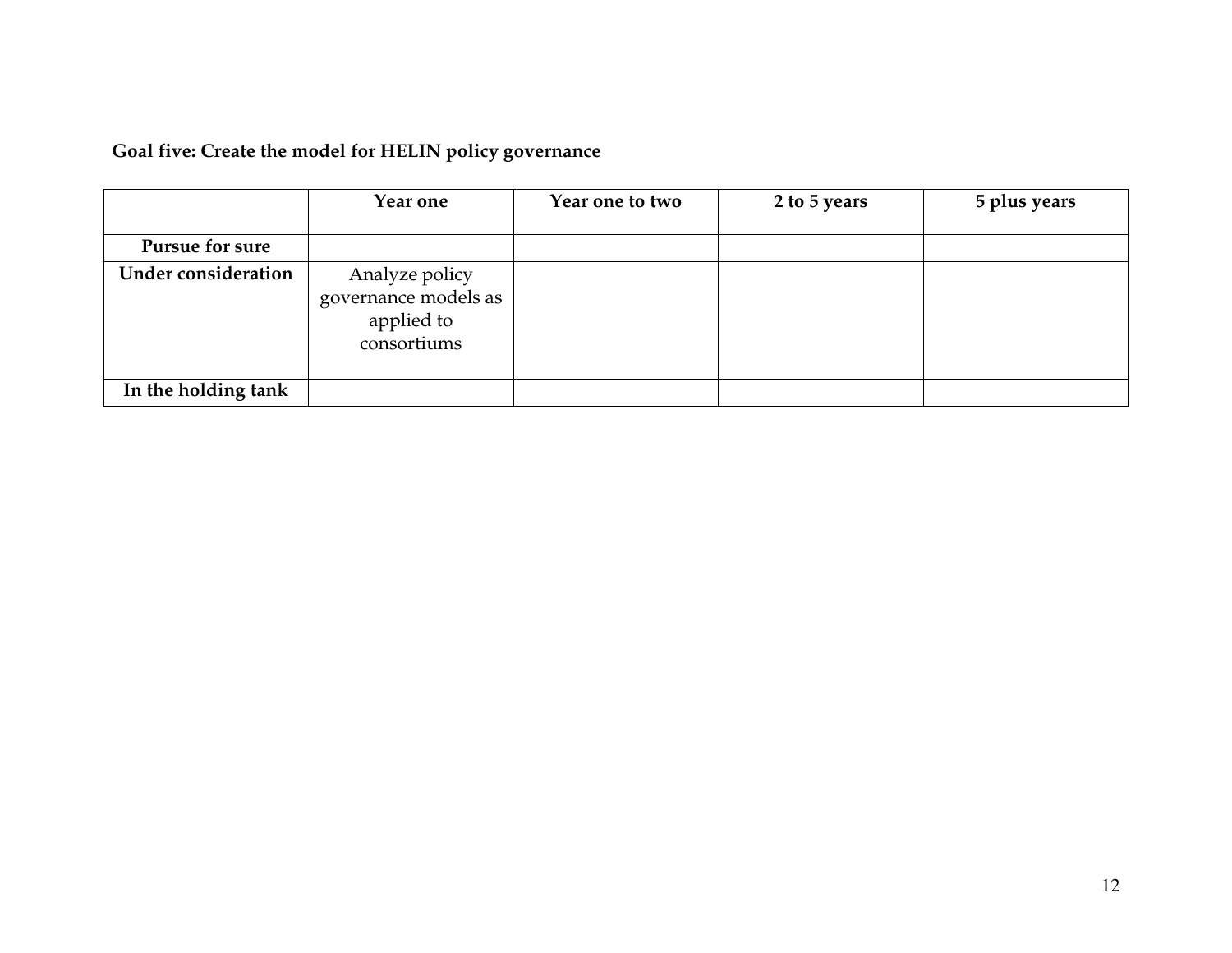| Goal five: Create the model for HELIN policy governance |  |
|---------------------------------------------------------|--|
|---------------------------------------------------------|--|

|                            | Year one                                                            | Year one to two | 2 to 5 years | 5 plus years |
|----------------------------|---------------------------------------------------------------------|-----------------|--------------|--------------|
| <b>Pursue for sure</b>     |                                                                     |                 |              |              |
| <b>Under consideration</b> | Analyze policy<br>governance models as<br>applied to<br>consortiums |                 |              |              |
| In the holding tank        |                                                                     |                 |              |              |